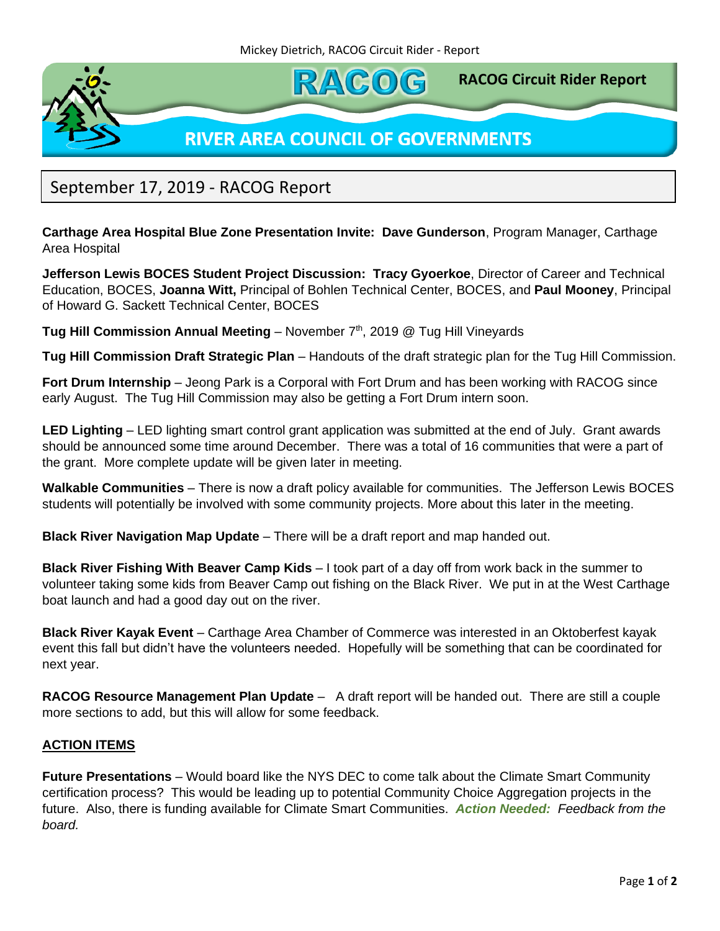

September 17, 2019 - RACOG Report

**Carthage Area Hospital Blue Zone Presentation Invite: Dave Gunderson**, Program Manager, Carthage Area Hospital

**Jefferson Lewis BOCES Student Project Discussion: Tracy Gyoerkoe**, Director of Career and Technical Education, BOCES, **Joanna Witt,** Principal of Bohlen Technical Center, BOCES, and **Paul Mooney**, Principal of Howard G. Sackett Technical Center, BOCES

Tug Hill Commission Annual Meeting - November 7<sup>th</sup>, 2019 @ Tug Hill Vineyards

**Tug Hill Commission Draft Strategic Plan** – Handouts of the draft strategic plan for the Tug Hill Commission.

**Fort Drum Internship** – Jeong Park is a Corporal with Fort Drum and has been working with RACOG since early August. The Tug Hill Commission may also be getting a Fort Drum intern soon.

**LED Lighting** – LED lighting smart control grant application was submitted at the end of July. Grant awards should be announced some time around December. There was a total of 16 communities that were a part of the grant. More complete update will be given later in meeting.

**Walkable Communities** – There is now a draft policy available for communities. The Jefferson Lewis BOCES students will potentially be involved with some community projects. More about this later in the meeting.

**Black River Navigation Map Update** – There will be a draft report and map handed out.

**Black River Fishing With Beaver Camp Kids** – I took part of a day off from work back in the summer to volunteer taking some kids from Beaver Camp out fishing on the Black River. We put in at the West Carthage boat launch and had a good day out on the river.

**Black River Kayak Event** – Carthage Area Chamber of Commerce was interested in an Oktoberfest kayak event this fall but didn't have the volunteers needed. Hopefully will be something that can be coordinated for next year.

**RACOG Resource Management Plan Update** – A draft report will be handed out. There are still a couple more sections to add, but this will allow for some feedback.

## **ACTION ITEMS**

**Future Presentations** – Would board like the NYS DEC to come talk about the Climate Smart Community certification process? This would be leading up to potential Community Choice Aggregation projects in the future. Also, there is funding available for Climate Smart Communities. *Action Needed: Feedback from the board.*